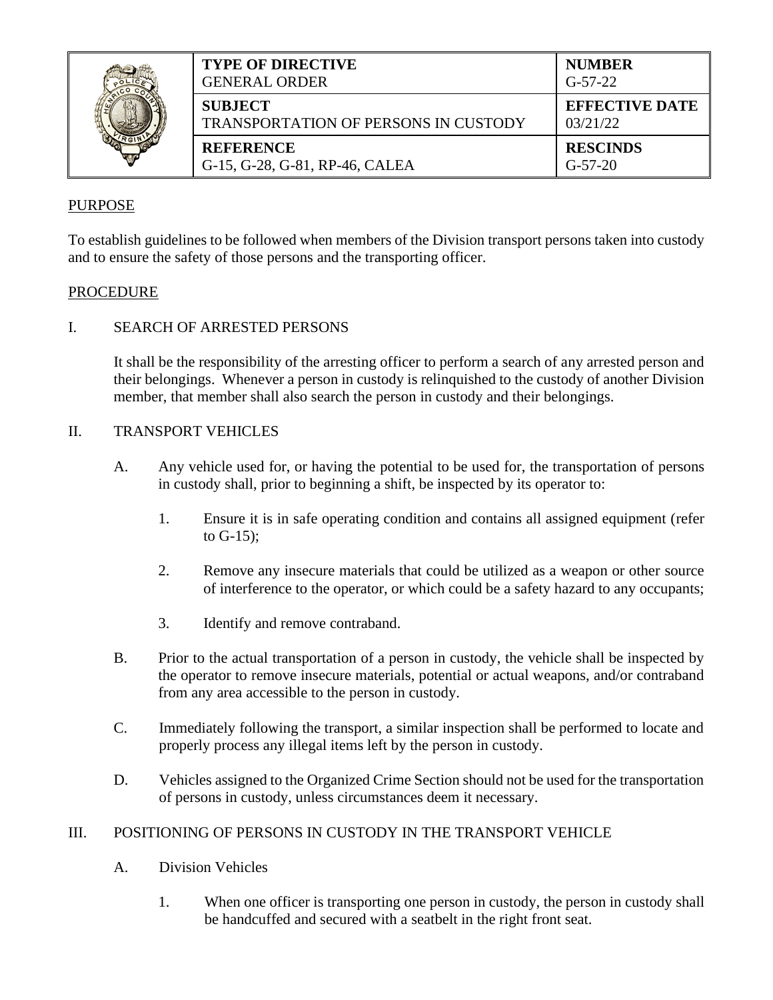|  | <b>TYPE OF DIRECTIVE</b><br><b>GENERAL ORDER</b>              | <b>NUMBER</b><br>$G-57-22$        |
|--|---------------------------------------------------------------|-----------------------------------|
|  | <b>SUBJECT</b><br><b>TRANSPORTATION OF PERSONS IN CUSTODY</b> | <b>EFFECTIVE DATE</b><br>03/21/22 |
|  | <b>REFERENCE</b><br>G-15, G-28, G-81, RP-46, CALEA            | <b>RESCINDS</b><br>$G-57-20$      |

### PURPOSE

To establish guidelines to be followed when members of the Division transport persons taken into custody and to ensure the safety of those persons and the transporting officer.

#### PROCEDURE

# I. SEARCH OF ARRESTED PERSONS

It shall be the responsibility of the arresting officer to perform a search of any arrested person and their belongings. Whenever a person in custody is relinquished to the custody of another Division member, that member shall also search the person in custody and their belongings.

### II. TRANSPORT VEHICLES

- A. Any vehicle used for, or having the potential to be used for, the transportation of persons in custody shall, prior to beginning a shift, be inspected by its operator to:
	- 1. Ensure it is in safe operating condition and contains all assigned equipment (refer to G-15);
	- 2. Remove any insecure materials that could be utilized as a weapon or other source of interference to the operator, or which could be a safety hazard to any occupants;
	- 3. Identify and remove contraband.
- B. Prior to the actual transportation of a person in custody, the vehicle shall be inspected by the operator to remove insecure materials, potential or actual weapons, and/or contraband from any area accessible to the person in custody.
- C. Immediately following the transport, a similar inspection shall be performed to locate and properly process any illegal items left by the person in custody.
- D. Vehicles assigned to the Organized Crime Section should not be used for the transportation of persons in custody, unless circumstances deem it necessary.

#### III. POSITIONING OF PERSONS IN CUSTODY IN THE TRANSPORT VEHICLE

- A. Division Vehicles
	- 1. When one officer is transporting one person in custody, the person in custody shall be handcuffed and secured with a seatbelt in the right front seat.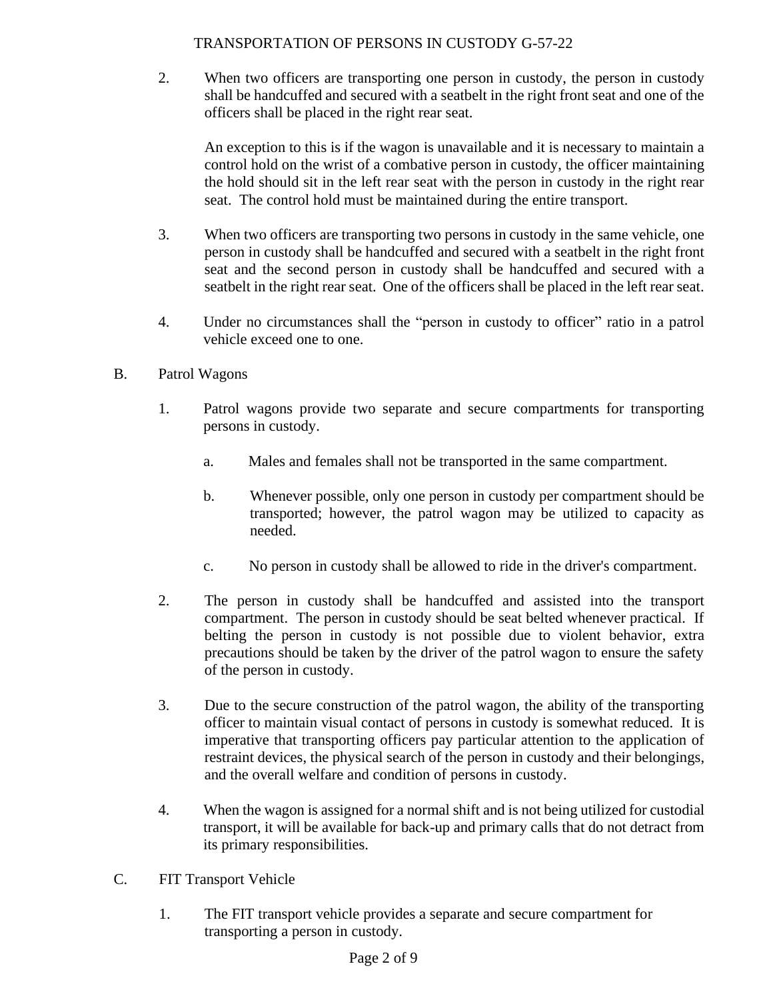2. When two officers are transporting one person in custody, the person in custody shall be handcuffed and secured with a seatbelt in the right front seat and one of the officers shall be placed in the right rear seat.

An exception to this is if the wagon is unavailable and it is necessary to maintain a control hold on the wrist of a combative person in custody, the officer maintaining the hold should sit in the left rear seat with the person in custody in the right rear seat. The control hold must be maintained during the entire transport.

- 3. When two officers are transporting two persons in custody in the same vehicle, one person in custody shall be handcuffed and secured with a seatbelt in the right front seat and the second person in custody shall be handcuffed and secured with a seatbelt in the right rear seat. One of the officers shall be placed in the left rear seat.
- 4. Under no circumstances shall the "person in custody to officer" ratio in a patrol vehicle exceed one to one.
- B. Patrol Wagons
	- 1. Patrol wagons provide two separate and secure compartments for transporting persons in custody.
		- a. Males and females shall not be transported in the same compartment.
		- b. Whenever possible, only one person in custody per compartment should be transported; however, the patrol wagon may be utilized to capacity as needed.
		- c. No person in custody shall be allowed to ride in the driver's compartment.
	- 2. The person in custody shall be handcuffed and assisted into the transport compartment. The person in custody should be seat belted whenever practical. If belting the person in custody is not possible due to violent behavior, extra precautions should be taken by the driver of the patrol wagon to ensure the safety of the person in custody.
	- 3. Due to the secure construction of the patrol wagon, the ability of the transporting officer to maintain visual contact of persons in custody is somewhat reduced. It is imperative that transporting officers pay particular attention to the application of restraint devices, the physical search of the person in custody and their belongings, and the overall welfare and condition of persons in custody.
	- 4. When the wagon is assigned for a normal shift and is not being utilized for custodial transport, it will be available for back-up and primary calls that do not detract from its primary responsibilities.
- C. FIT Transport Vehicle
	- 1. The FIT transport vehicle provides a separate and secure compartment for transporting a person in custody.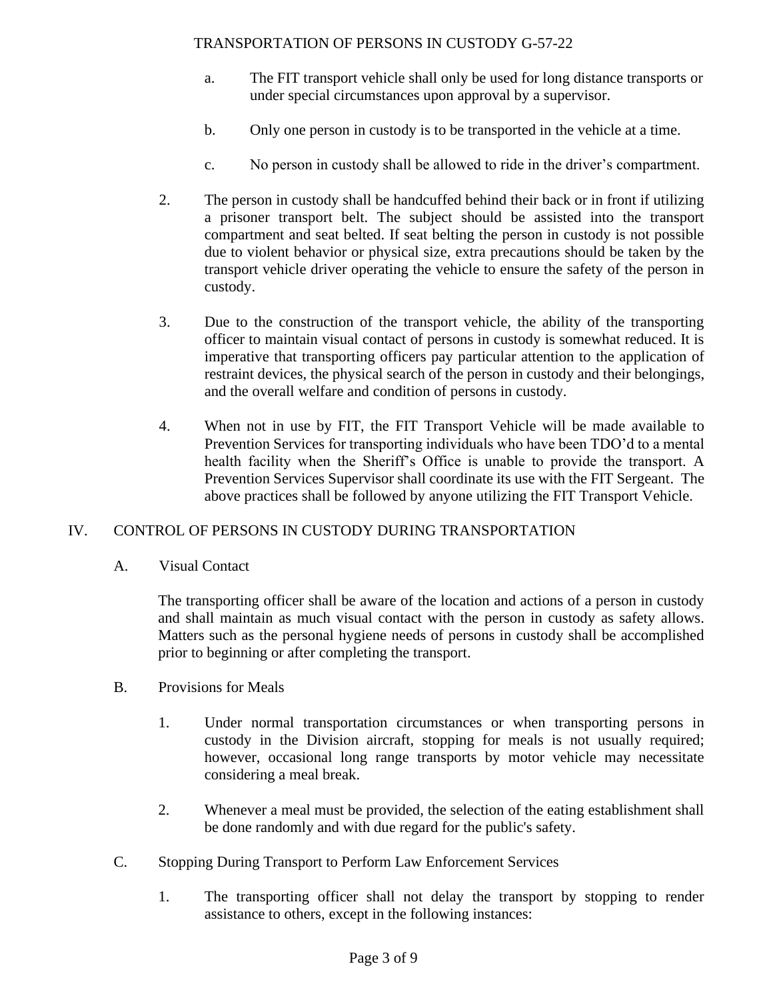- a. The FIT transport vehicle shall only be used for long distance transports or under special circumstances upon approval by a supervisor.
- b. Only one person in custody is to be transported in the vehicle at a time.
- c. No person in custody shall be allowed to ride in the driver's compartment.
- 2. The person in custody shall be handcuffed behind their back or in front if utilizing a prisoner transport belt. The subject should be assisted into the transport compartment and seat belted. If seat belting the person in custody is not possible due to violent behavior or physical size, extra precautions should be taken by the transport vehicle driver operating the vehicle to ensure the safety of the person in custody.
- 3. Due to the construction of the transport vehicle, the ability of the transporting officer to maintain visual contact of persons in custody is somewhat reduced. It is imperative that transporting officers pay particular attention to the application of restraint devices, the physical search of the person in custody and their belongings, and the overall welfare and condition of persons in custody.
- 4. When not in use by FIT, the FIT Transport Vehicle will be made available to Prevention Services for transporting individuals who have been TDO'd to a mental health facility when the Sheriff's Office is unable to provide the transport. A Prevention Services Supervisor shall coordinate its use with the FIT Sergeant. The above practices shall be followed by anyone utilizing the FIT Transport Vehicle.

# IV. CONTROL OF PERSONS IN CUSTODY DURING TRANSPORTATION

A. Visual Contact

The transporting officer shall be aware of the location and actions of a person in custody and shall maintain as much visual contact with the person in custody as safety allows. Matters such as the personal hygiene needs of persons in custody shall be accomplished prior to beginning or after completing the transport.

- B. Provisions for Meals
	- 1. Under normal transportation circumstances or when transporting persons in custody in the Division aircraft, stopping for meals is not usually required; however, occasional long range transports by motor vehicle may necessitate considering a meal break.
	- 2. Whenever a meal must be provided, the selection of the eating establishment shall be done randomly and with due regard for the public's safety.
- C. Stopping During Transport to Perform Law Enforcement Services
	- 1. The transporting officer shall not delay the transport by stopping to render assistance to others, except in the following instances: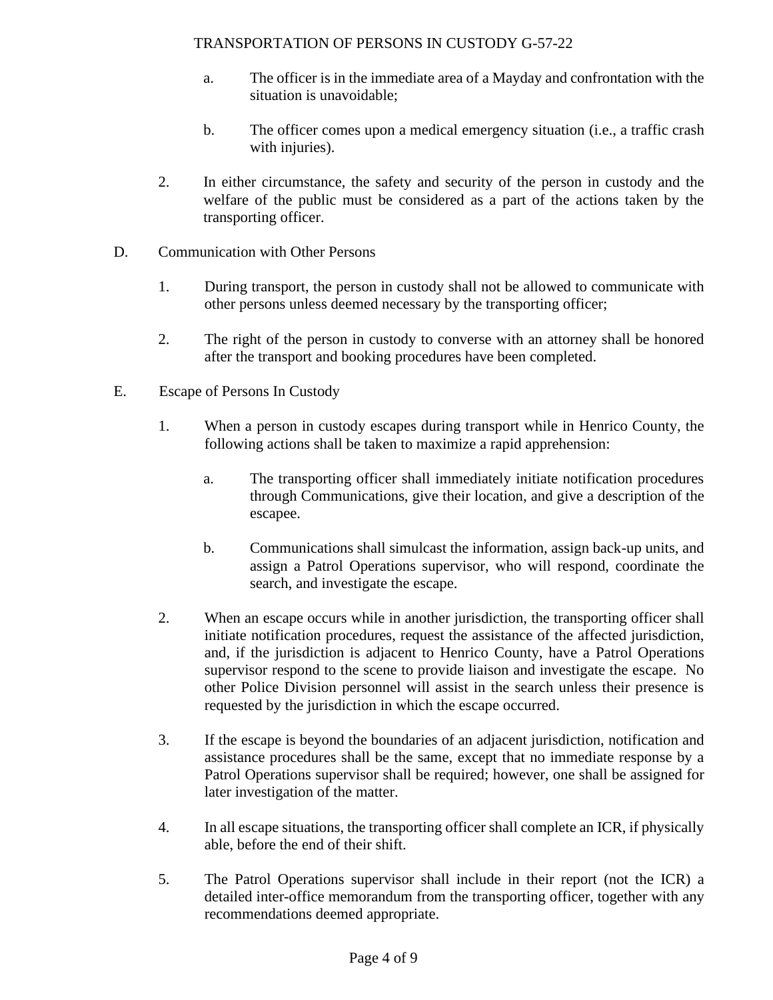- a. The officer is in the immediate area of a Mayday and confrontation with the situation is unavoidable;
- b. The officer comes upon a medical emergency situation (i.e., a traffic crash with injuries).
- 2. In either circumstance, the safety and security of the person in custody and the welfare of the public must be considered as a part of the actions taken by the transporting officer.
- D. Communication with Other Persons
	- 1. During transport, the person in custody shall not be allowed to communicate with other persons unless deemed necessary by the transporting officer;
	- 2. The right of the person in custody to converse with an attorney shall be honored after the transport and booking procedures have been completed.
- E. Escape of Persons In Custody
	- 1. When a person in custody escapes during transport while in Henrico County, the following actions shall be taken to maximize a rapid apprehension:
		- a. The transporting officer shall immediately initiate notification procedures through Communications, give their location, and give a description of the escapee.
		- b. Communications shall simulcast the information, assign back-up units, and assign a Patrol Operations supervisor, who will respond, coordinate the search, and investigate the escape.
	- 2. When an escape occurs while in another jurisdiction, the transporting officer shall initiate notification procedures, request the assistance of the affected jurisdiction, and, if the jurisdiction is adjacent to Henrico County, have a Patrol Operations supervisor respond to the scene to provide liaison and investigate the escape. No other Police Division personnel will assist in the search unless their presence is requested by the jurisdiction in which the escape occurred.
	- 3. If the escape is beyond the boundaries of an adjacent jurisdiction, notification and assistance procedures shall be the same, except that no immediate response by a Patrol Operations supervisor shall be required; however, one shall be assigned for later investigation of the matter.
	- 4. In all escape situations, the transporting officer shall complete an ICR, if physically able, before the end of their shift.
	- 5. The Patrol Operations supervisor shall include in their report (not the ICR) a detailed inter-office memorandum from the transporting officer, together with any recommendations deemed appropriate.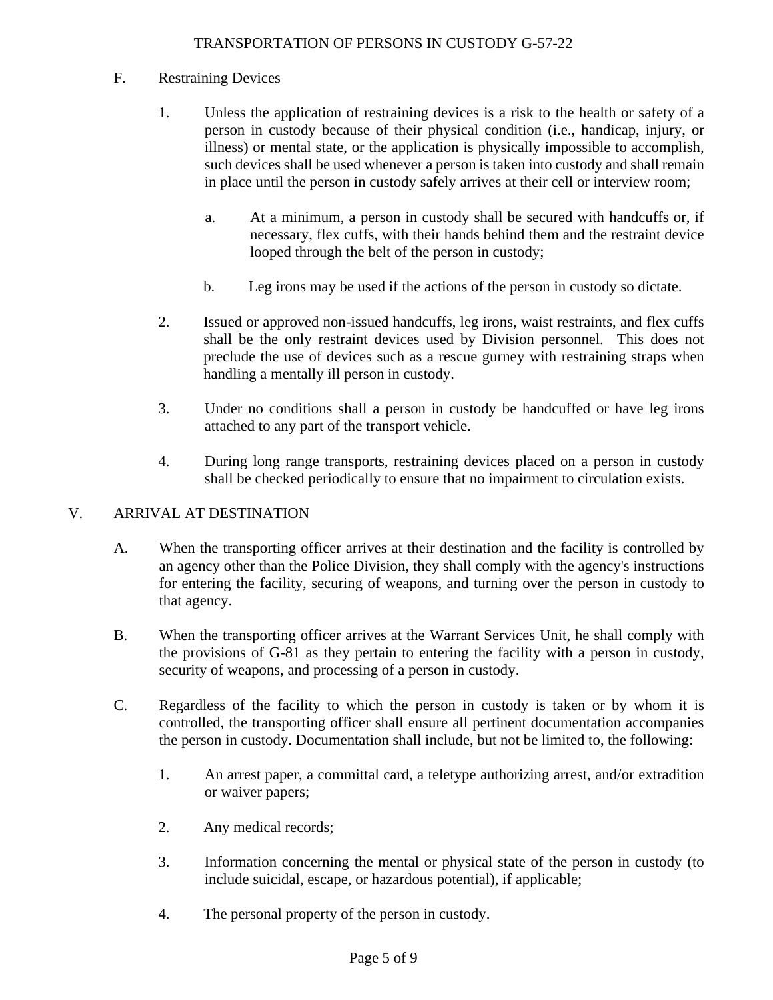### F. Restraining Devices

- 1. Unless the application of restraining devices is a risk to the health or safety of a person in custody because of their physical condition (i.e., handicap, injury, or illness) or mental state, or the application is physically impossible to accomplish, such devices shall be used whenever a person is taken into custody and shall remain in place until the person in custody safely arrives at their cell or interview room;
	- a. At a minimum, a person in custody shall be secured with handcuffs or, if necessary, flex cuffs, with their hands behind them and the restraint device looped through the belt of the person in custody;
	- b. Leg irons may be used if the actions of the person in custody so dictate.
- 2. Issued or approved non-issued handcuffs, leg irons, waist restraints, and flex cuffs shall be the only restraint devices used by Division personnel. This does not preclude the use of devices such as a rescue gurney with restraining straps when handling a mentally ill person in custody.
- 3. Under no conditions shall a person in custody be handcuffed or have leg irons attached to any part of the transport vehicle.
- 4. During long range transports, restraining devices placed on a person in custody shall be checked periodically to ensure that no impairment to circulation exists.

# V. ARRIVAL AT DESTINATION

- A. When the transporting officer arrives at their destination and the facility is controlled by an agency other than the Police Division, they shall comply with the agency's instructions for entering the facility, securing of weapons, and turning over the person in custody to that agency.
- B. When the transporting officer arrives at the Warrant Services Unit, he shall comply with the provisions of G-81 as they pertain to entering the facility with a person in custody, security of weapons, and processing of a person in custody.
- C. Regardless of the facility to which the person in custody is taken or by whom it is controlled, the transporting officer shall ensure all pertinent documentation accompanies the person in custody. Documentation shall include, but not be limited to, the following:
	- 1. An arrest paper, a committal card, a teletype authorizing arrest, and/or extradition or waiver papers;
	- 2. Any medical records;
	- 3. Information concerning the mental or physical state of the person in custody (to include suicidal, escape, or hazardous potential), if applicable;
	- 4. The personal property of the person in custody.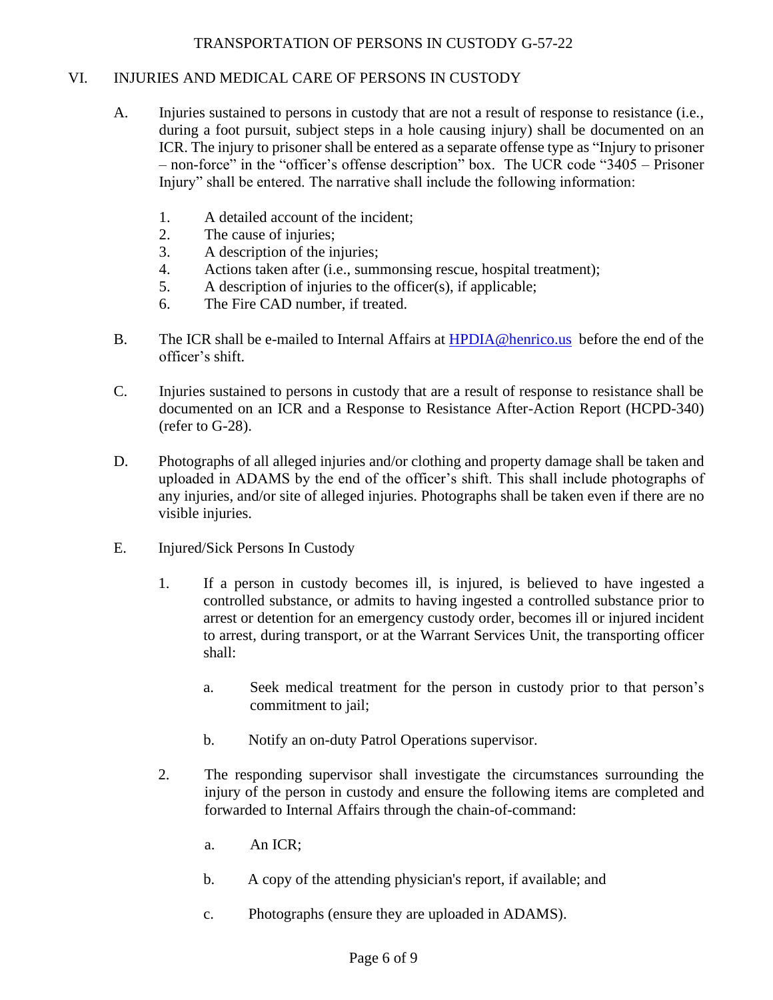# VI. INJURIES AND MEDICAL CARE OF PERSONS IN CUSTODY

- A. Injuries sustained to persons in custody that are not a result of response to resistance (i.e., during a foot pursuit, subject steps in a hole causing injury) shall be documented on an ICR. The injury to prisoner shall be entered as a separate offense type as "Injury to prisoner – non-force" in the "officer's offense description" box. The UCR code "3405 – Prisoner Injury" shall be entered. The narrative shall include the following information:
	- 1. A detailed account of the incident;
	- 2. The cause of injuries;
	- 3. A description of the injuries;
	- 4. Actions taken after (i.e., summonsing rescue, hospital treatment);
	- 5. A description of injuries to the officer(s), if applicable;
	- 6. The Fire CAD number, if treated.
- B. The ICR shall be e-mailed to Internal Affairs at [HPDIA@henrico.us](mailto:HPDIA@henrico.us) before the end of the officer's shift.
- C. Injuries sustained to persons in custody that are a result of response to resistance shall be documented on an ICR and a Response to Resistance After-Action Report (HCPD-340) (refer to G-28).
- D. Photographs of all alleged injuries and/or clothing and property damage shall be taken and uploaded in ADAMS by the end of the officer's shift. This shall include photographs of any injuries, and/or site of alleged injuries. Photographs shall be taken even if there are no visible injuries.
- E. Injured/Sick Persons In Custody
	- 1. If a person in custody becomes ill, is injured, is believed to have ingested a controlled substance, or admits to having ingested a controlled substance prior to arrest or detention for an emergency custody order, becomes ill or injured incident to arrest, during transport, or at the Warrant Services Unit, the transporting officer shall:
		- a. Seek medical treatment for the person in custody prior to that person's commitment to jail;
		- b. Notify an on-duty Patrol Operations supervisor.
	- 2. The responding supervisor shall investigate the circumstances surrounding the injury of the person in custody and ensure the following items are completed and forwarded to Internal Affairs through the chain-of-command:
		- a. An ICR;
		- b. A copy of the attending physician's report, if available; and
		- c. Photographs (ensure they are uploaded in ADAMS).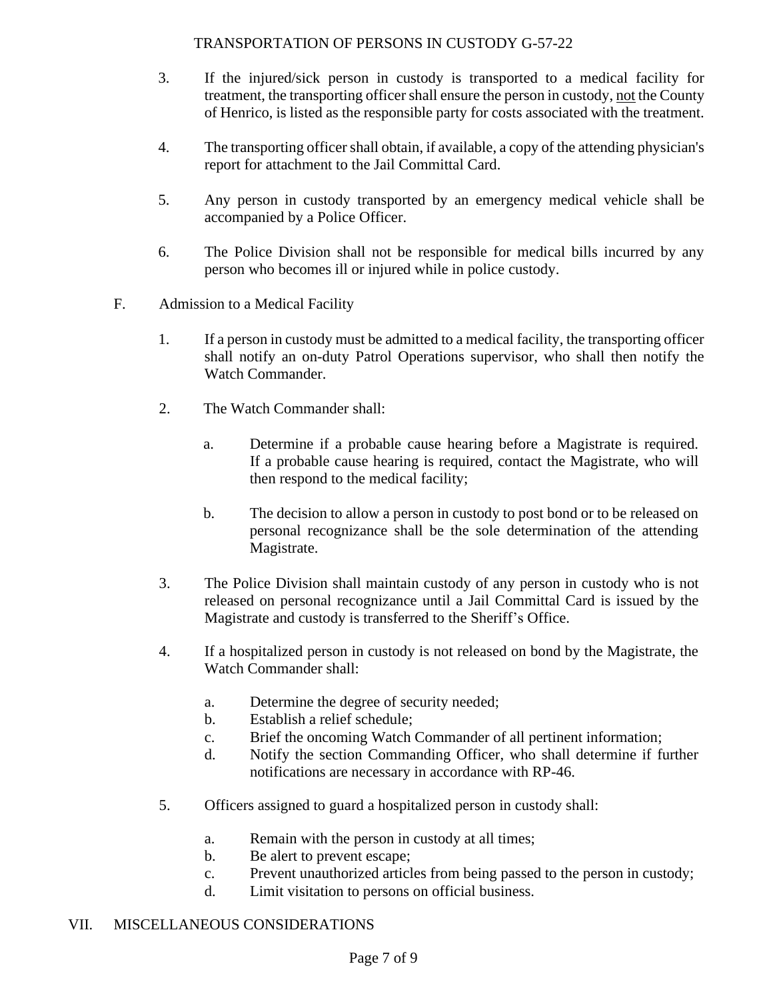- 3. If the injured/sick person in custody is transported to a medical facility for treatment, the transporting officer shall ensure the person in custody, not the County of Henrico, is listed as the responsible party for costs associated with the treatment.
- 4. The transporting officer shall obtain, if available, a copy of the attending physician's report for attachment to the Jail Committal Card.
- 5. Any person in custody transported by an emergency medical vehicle shall be accompanied by a Police Officer.
- 6. The Police Division shall not be responsible for medical bills incurred by any person who becomes ill or injured while in police custody.
- F. Admission to a Medical Facility
	- 1. If a person in custody must be admitted to a medical facility, the transporting officer shall notify an on-duty Patrol Operations supervisor, who shall then notify the Watch Commander.
	- 2. The Watch Commander shall:
		- a. Determine if a probable cause hearing before a Magistrate is required. If a probable cause hearing is required, contact the Magistrate, who will then respond to the medical facility;
		- b. The decision to allow a person in custody to post bond or to be released on personal recognizance shall be the sole determination of the attending Magistrate.
	- 3. The Police Division shall maintain custody of any person in custody who is not released on personal recognizance until a Jail Committal Card is issued by the Magistrate and custody is transferred to the Sheriff's Office.
	- 4. If a hospitalized person in custody is not released on bond by the Magistrate, the Watch Commander shall:
		- a. Determine the degree of security needed;
		- b. Establish a relief schedule;
		- c. Brief the oncoming Watch Commander of all pertinent information;
		- d. Notify the section Commanding Officer, who shall determine if further notifications are necessary in accordance with RP-46.
	- 5. Officers assigned to guard a hospitalized person in custody shall:
		- a. Remain with the person in custody at all times;
		- b. Be alert to prevent escape;
		- c. Prevent unauthorized articles from being passed to the person in custody;
		- d. Limit visitation to persons on official business.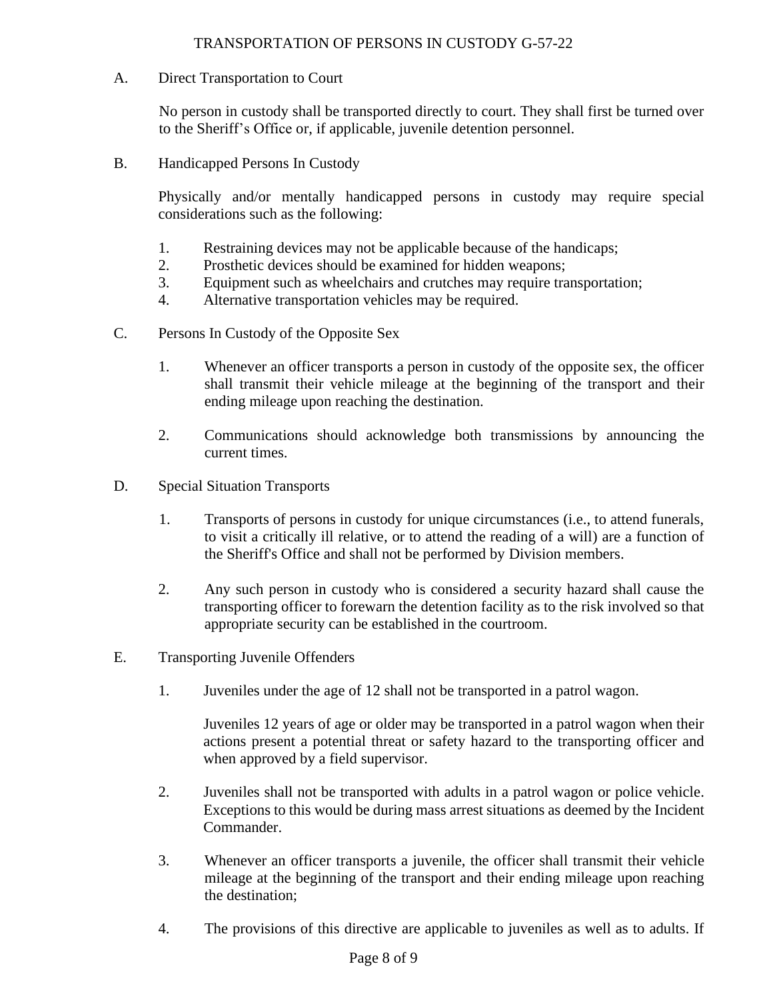A. Direct Transportation to Court

No person in custody shall be transported directly to court. They shall first be turned over to the Sheriff's Office or, if applicable, juvenile detention personnel.

B. Handicapped Persons In Custody

Physically and/or mentally handicapped persons in custody may require special considerations such as the following:

- 1. Restraining devices may not be applicable because of the handicaps;
- 2. Prosthetic devices should be examined for hidden weapons;
- 3. Equipment such as wheelchairs and crutches may require transportation;
- 4. Alternative transportation vehicles may be required.
- C. Persons In Custody of the Opposite Sex
	- 1. Whenever an officer transports a person in custody of the opposite sex, the officer shall transmit their vehicle mileage at the beginning of the transport and their ending mileage upon reaching the destination.
	- 2. Communications should acknowledge both transmissions by announcing the current times.
- D. Special Situation Transports
	- 1. Transports of persons in custody for unique circumstances (i.e., to attend funerals, to visit a critically ill relative, or to attend the reading of a will) are a function of the Sheriff's Office and shall not be performed by Division members.
	- 2. Any such person in custody who is considered a security hazard shall cause the transporting officer to forewarn the detention facility as to the risk involved so that appropriate security can be established in the courtroom.
- E. Transporting Juvenile Offenders
	- 1. Juveniles under the age of 12 shall not be transported in a patrol wagon.

Juveniles 12 years of age or older may be transported in a patrol wagon when their actions present a potential threat or safety hazard to the transporting officer and when approved by a field supervisor.

- 2. Juveniles shall not be transported with adults in a patrol wagon or police vehicle. Exceptions to this would be during mass arrest situations as deemed by the Incident Commander.
- 3. Whenever an officer transports a juvenile, the officer shall transmit their vehicle mileage at the beginning of the transport and their ending mileage upon reaching the destination;
- 4. The provisions of this directive are applicable to juveniles as well as to adults. If